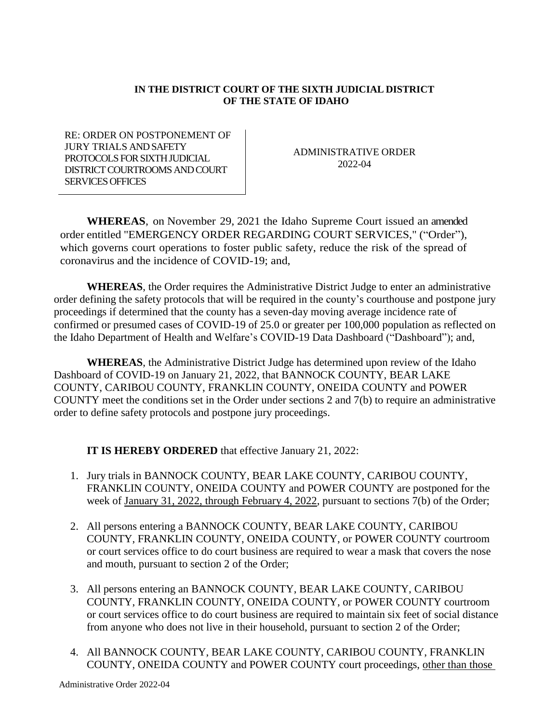## **IN THE DISTRICT COURT OF THE SIXTH JUDICIAL DISTRICT OF THE STATE OF IDAHO**

RE: ORDER ON POSTPONEMENT OF JURY TRIALS AND SAFETY PROTOCOLS FOR SIXTH JUDICIAL DISTRICT COURTROOMS AND COURT SERVICES OFFICES

ADMINISTRATIVE ORDER 2022-04

**WHEREAS**, on November 29, 2021 the Idaho Supreme Court issued an amended order entitled "EMERGENCY ORDER REGARDING COURT SERVICES," ("Order"), which governs court operations to foster public safety, reduce the risk of the spread of coronavirus and the incidence of COVID-19; and,

**WHEREAS**, the Order requires the Administrative District Judge to enter an administrative order defining the safety protocols that will be required in the county's courthouse and postpone jury proceedings if determined that the county has a seven-day moving average incidence rate of confirmed or presumed cases of COVID-19 of 25.0 or greater per 100,000 population as reflected on the Idaho Department of Health and Welfare's COVID-19 Data Dashboard ("Dashboard"); and,

**WHEREAS**, the Administrative District Judge has determined upon review of the Idaho Dashboard of COVID-19 on January 21, 2022, that BANNOCK COUNTY, BEAR LAKE COUNTY, CARIBOU COUNTY, FRANKLIN COUNTY, ONEIDA COUNTY and POWER COUNTY meet the conditions set in the Order under sections 2 and 7(b) to require an administrative order to define safety protocols and postpone jury proceedings.

**IT IS HEREBY ORDERED** that effective January 21, 2022:

- 1. Jury trials in BANNOCK COUNTY, BEAR LAKE COUNTY, CARIBOU COUNTY, FRANKLIN COUNTY, ONEIDA COUNTY and POWER COUNTY are postponed for the week of January 31, 2022, through February 4, 2022, pursuant to sections 7(b) of the Order;
- 2. All persons entering a BANNOCK COUNTY, BEAR LAKE COUNTY, CARIBOU COUNTY, FRANKLIN COUNTY, ONEIDA COUNTY, or POWER COUNTY courtroom or court services office to do court business are required to wear a mask that covers the nose and mouth, pursuant to section 2 of the Order;
- 3. All persons entering an BANNOCK COUNTY, BEAR LAKE COUNTY, CARIBOU COUNTY, FRANKLIN COUNTY, ONEIDA COUNTY, or POWER COUNTY courtroom or court services office to do court business are required to maintain six feet of social distance from anyone who does not live in their household, pursuant to section 2 of the Order;
- 4. All BANNOCK COUNTY, BEAR LAKE COUNTY, CARIBOU COUNTY, FRANKLIN COUNTY, ONEIDA COUNTY and POWER COUNTY court proceedings, other than those